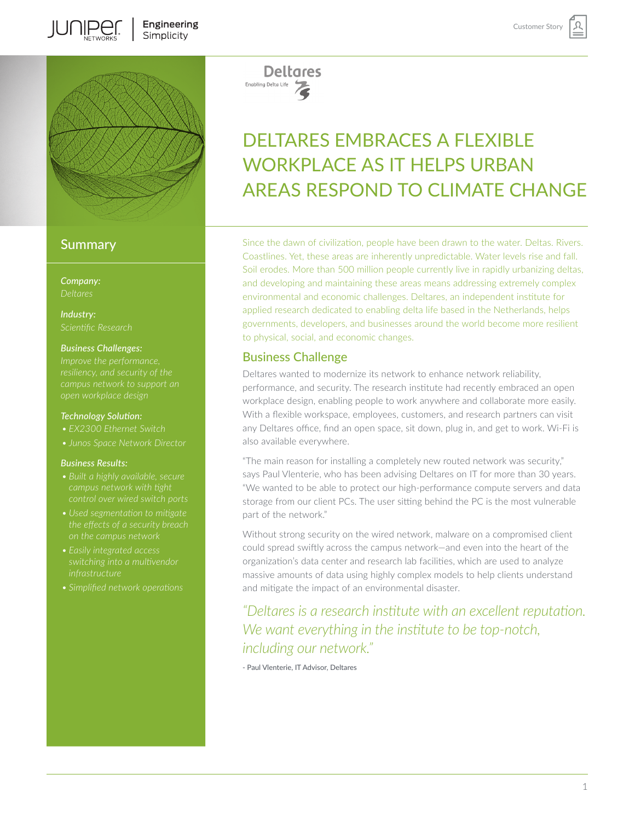

# **Summary**

**IUNIPEC** 

*Company:*

*Industry: Scientific Research*

### *Business Challenges:*

*open workplace design*

### *Technology Solution:*

- *• EX2300 Ethernet Switch*
- *• Junos Space Network Director*

#### *Business Results:*

- 
- 
- *• Easily integrated access*
- 

**Deltares** Enabling Delta Life

# DELTARES EMBRACES A FLEXIBLE WORKPLACE AS IT HELPS URBAN AREAS RESPOND TO CLIMATE CHANGE

Since the dawn of civilization, people have been drawn to the water. Deltas. Rivers. Coastlines. Yet, these areas are inherently unpredictable. Water levels rise and fall. Soil erodes. More than 500 million people currently live in rapidly urbanizing deltas, and developing and maintaining these areas means addressing extremely complex environmental and economic challenges. Deltares, an independent institute for applied research dedicated to enabling delta life based in the Netherlands, helps governments, developers, and businesses around the world become more resilient to physical, social, and economic changes.

## Business Challenge

Deltares wanted to modernize its network to enhance network reliability, performance, and security. The research institute had recently embraced an open workplace design, enabling people to work anywhere and collaborate more easily. With a flexible workspace, employees, customers, and research partners can visit any Deltares office, find an open space, sit down, plug in, and get to work. Wi-Fi is also available everywhere.

"The main reason for installing a completely new routed network was security," says Paul Vlenterie, who has been advising Deltares on IT for more than 30 years. "We wanted to be able to protect our high-performance compute servers and data storage from our client PCs. The user sitting behind the PC is the most vulnerable part of the network."

Without strong security on the wired network, malware on a compromised client could spread swiftly across the campus network—and even into the heart of the organization's data center and research lab facilities, which are used to analyze massive amounts of data using highly complex models to help clients understand and mitigate the impact of an environmental disaster.

*"Deltares is a research institute with an excellent reputation. We want everything in the institute to be top-notch, including our network."* 

- Paul Vlenterie, IT Advisor, Deltares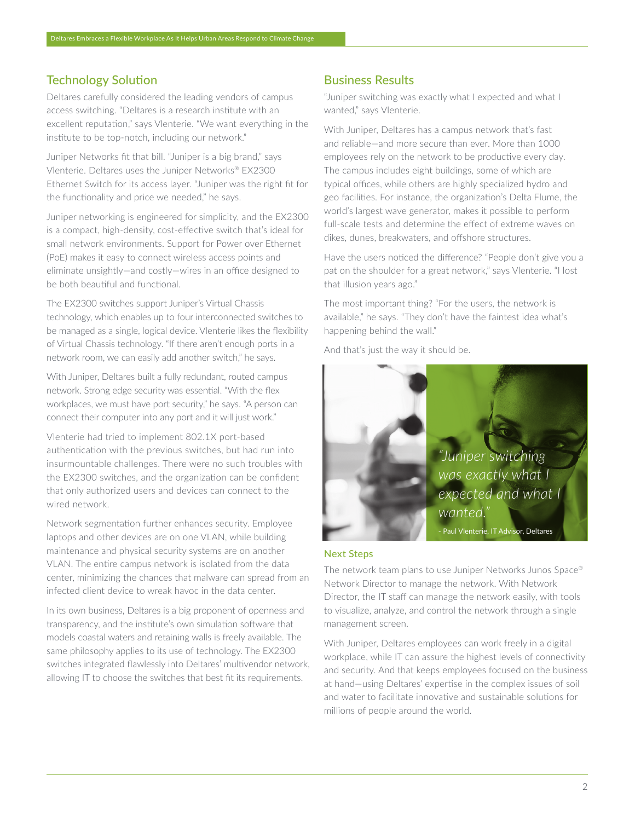# Technology Solution

Deltares carefully considered the leading vendors of campus access switching. "Deltares is a research institute with an excellent reputation," says Vlenterie. "We want everything in the institute to be top-notch, including our network."

Juniper Networks fit that bill. "Juniper is a big brand," says Vlenterie. Deltares uses the Juniper Networks® EX2300 Ethernet Switch for its access layer. "Juniper was the right fit for the functionality and price we needed," he says.

Juniper networking is engineered for simplicity, and the EX2300 is a compact, high-density, cost-effective switch that's ideal for small network environments. Support for Power over Ethernet (PoE) makes it easy to connect wireless access points and eliminate unsightly—and costly—wires in an office designed to be both beautiful and functional.

The EX2300 switches support Juniper's Virtual Chassis technology, which enables up to four interconnected switches to be managed as a single, logical device. Vlenterie likes the flexibility of Virtual Chassis technology. "If there aren't enough ports in a network room, we can easily add another switch," he says.

With Juniper, Deltares built a fully redundant, routed campus network. Strong edge security was essential. "With the flex workplaces, we must have port security," he says. "A person can connect their computer into any port and it will just work."

Vlenterie had tried to implement 802.1X port-based authentication with the previous switches, but had run into insurmountable challenges. There were no such troubles with the EX2300 switches, and the organization can be confident that only authorized users and devices can connect to the wired network.

Network segmentation further enhances security. Employee laptops and other devices are on one VLAN, while building maintenance and physical security systems are on another VLAN. The entire campus network is isolated from the data center, minimizing the chances that malware can spread from an infected client device to wreak havoc in the data center.

In its own business, Deltares is a big proponent of openness and transparency, and the institute's own simulation software that models coastal waters and retaining walls is freely available. The same philosophy applies to its use of technology. The EX2300 switches integrated flawlessly into Deltares' multivendor network, allowing IT to choose the switches that best fit its requirements.

## Business Results

"Juniper switching was exactly what I expected and what I wanted," says Vlenterie.

With Juniper, Deltares has a campus network that's fast and reliable—and more secure than ever. More than 1000 employees rely on the network to be productive every day. The campus includes eight buildings, some of which are typical offices, while others are highly specialized hydro and geo facilities. For instance, the organization's Delta Flume, the world's largest wave generator, makes it possible to perform full-scale tests and determine the effect of extreme waves on dikes, dunes, breakwaters, and offshore structures.

Have the users noticed the difference? "People don't give you a pat on the shoulder for a great network," says Vlenterie. "I lost that illusion years ago."

The most important thing? "For the users, the network is available," he says. "They don't have the faintest idea what's happening behind the wall."

And that's just the way it should be.



## Next Steps

The network team plans to use Juniper Networks Junos Space® Network Director to manage the network. With Network Director, the IT staff can manage the network easily, with tools to visualize, analyze, and control the network through a single management screen.

With Juniper, Deltares employees can work freely in a digital workplace, while IT can assure the highest levels of connectivity and security. And that keeps employees focused on the business at hand—using Deltares' expertise in the complex issues of soil and water to facilitate innovative and sustainable solutions for millions of people around the world.